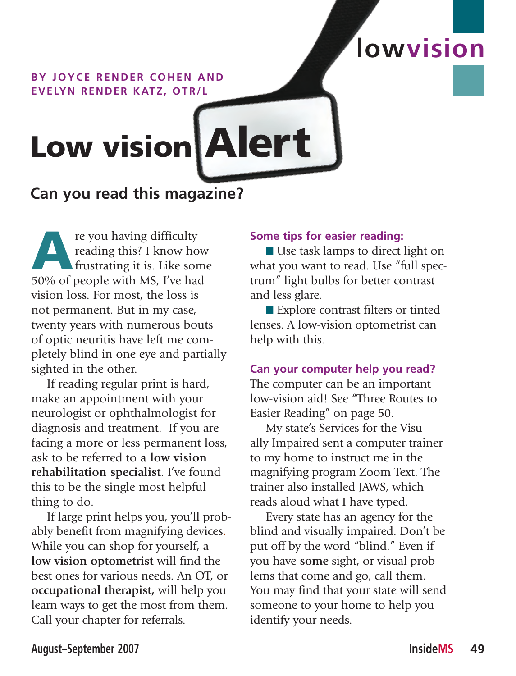### **BY JOYCE RENDER COHEN AND EVELYN RENDER KATZ, OTR/L**

# Low vision Alert

# **Can you read this magazine?**

re you having difficulty<br>reading this? I know ho<br>frustrating it is. Like son<br>50% of people with MS I've had reading this? I know how frustrating it is. Like some 50% of people with MS, I've had vision loss. For most, the loss is not permanent. But in my case, twenty years with numerous bouts of optic neuritis have left me completely blind in one eye and partially sighted in the other.

If reading regular print is hard, make an appointment with your neurologist or ophthalmologist for diagnosis and treatment. If you are facing a more or less permanent loss, ask to be referred to **a low vision rehabilitation specialist**. I've found this to be the single most helpful thing to do.

If large print helps you, you'll probably benefit from magnifying devices**.**  While you can shop for yourself, a **low vision optometrist** will find the best ones for various needs. An OT, or **occupational therapist,** will help you learn ways to get the most from them. Call your chapter for referrals.

## **Some tips for easier reading:**

 $\blacksquare$  Use task lamps to direct light on what you want to read. Use "full spectrum" light bulbs for better contrast and less glare.

**lowvision**

■ Explore contrast filters or tinted lenses. A low-vision optometrist can help with this.

**Can your computer help you read?** The computer can be an important low-vision aid! See "Three Routes to Easier Reading" on page 50.

My state's Services for the Visually Impaired sent a computer trainer to my home to instruct me in the magnifying program Zoom Text. The trainer also installed JAWS, which reads aloud what I have typed.

Every state has an agency for the blind and visually impaired. Don't be put off by the word "blind." Even if you have **some** sight, or visual problems that come and go, call them. You may find that your state will send someone to your home to help you identify your needs.